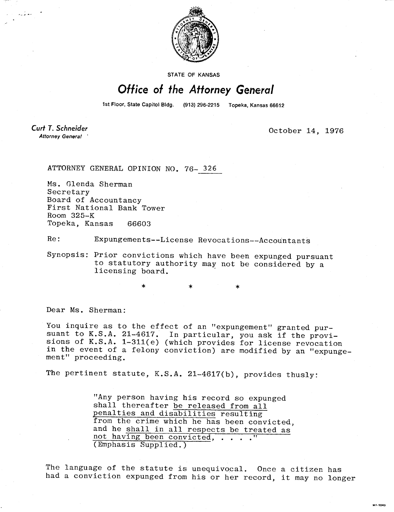

STATE OF KANSAS

## Office of the Attorney General

1st Floor, State Capitol Bldg. (913) 296-2215 Topeka, Kansas 66612

Curt T. Schneider **Attorney General** 

لدها لأربد

October 14, 1976

MI-SOAN

ATTORNEY GENERAL OPINION NO. 76- 326

Ms. Glenda Sherman Secretary Board of Accountancy First National Bank Tower Room 325-K Topeka, Kansas 66603

Re: Expungements--License Revocations--Accountants

Synopsis: Prior convictions which have been expunged pursuant to statutory authority may not be considered by a licensing board.

Dear Ms. Sherman:

You inquire as to the effect of an "expungement" granted pursuant to K.S.A. 21-4617. In particular, you ask if the provisions of K.S.A. 1-311(e) (which provides for license revocation in the event of a felony conviction) are modified by an "expungement" proceeding.

The pertinent statute, K.S.A. 21-4617(b), provides thusly:

"Any person having his record so expunged shall thereafter be released from all penalties and disabilities resulting from the crime which he has been convicted, and he shall in all respects be treated as not having been convicted, . . . ." (Emphasis Supplied.)

The language of the statute is unequivocal. Once a citizen has had a conviction expunged from his or her record, it may no longer